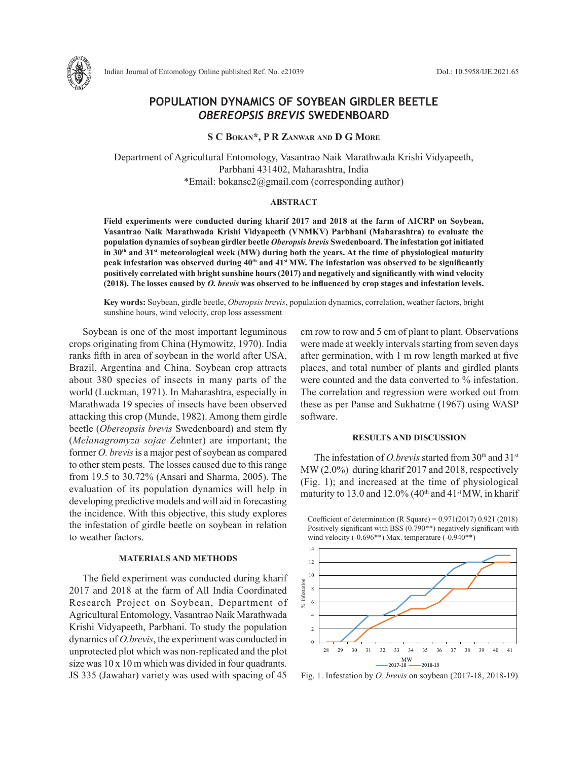

Indian Journal of Entomology Online published Ref. No. e21039 DoI.: 10.5958/IJE.2021.65

# **POPULATION DYNAMICS OF SOYBEAN GIRDLER BEETLE**  *OBEREOPSIS BREVIS* **SWEDENBOARD**

# **S C Bokan\*, P R Zanwar and D G More**

Department of Agricultural Entomology, Vasantrao Naik Marathwada Krishi Vidyapeeth, Parbhani 431402, Maharashtra, India \*Email: bokansc2@gmail.com (corresponding author)

## **ABSTRACT**

**Field experiments were conducted during kharif 2017 and 2018 at the farm of AICRP on Soybean, Vasantrao Naik Marathwada Krishi Vidyapeeth (VNMKV) Parbhani (Maharashtra) to evaluate the population dynamics of soybean girdler beetle** *Oberopsis brevis* **Swedenboard. The infestation got initiated in 30th and 31st meteorological week (MW) during both the years. At the time of physiological maturity**  peak infestation was observed during 40<sup>th</sup> and 41<sup>st</sup> MW. The infestation was observed to be significantly **positively correlated with bright sunshine hours (2017) and negatively and significantly with wind velocity (2018). The losses caused by** *O. brevis* **was observed to be influenced by crop stages and infestation levels.** 

**Key words:** Soybean, girdle beetle, *Oberopsis brevis*, population dynamics, correlation, weather factors, bright sunshine hours, wind velocity, crop loss assessment

Soybean is one of the most important leguminous crops originating from China (Hymowitz, 1970). India ranks fifth in area of soybean in the world after USA, Brazil, Argentina and China. Soybean crop attracts about 380 species of insects in many parts of the world (Luckman, 1971). In Maharashtra, especially in Marathwada 19 species of insects have been observed attacking this crop (Munde, 1982). Among them girdle beetle (*Obereopsis brevis* Swedenboard) and stem fly (*Melanagromyza sojae* Zehnter) are important; the former *O. brevis* is a major pest of soybean as compared to other stem pests. The losses caused due to this range from 19.5 to 30.72% (Ansari and Sharma, 2005). The evaluation of its population dynamics will help in developing predictive models and will aid in forecasting the incidence. With this objective, this study explores the infestation of girdle beetle on soybean in relation to weather factors.

### **MATERIALS AND METHODS**

The field experiment was conducted during kharif 2017 and 2018 at the farm of All India Coordinated Research Project on Soybean, Department of Agricultural Entomology, Vasantrao Naik Marathwada Krishi Vidyapeeth, Parbhani. To study the population dynamics of *O.brevis*, the experiment was conducted in unprotected plot which was non-replicated and the plot size was 10 x 10 m which was divided in four quadrants. JS 335 (Jawahar) variety was used with spacing of 45 cm row to row and 5 cm of plant to plant. Observations were made at weekly intervals starting from seven days after germination, with 1 m row length marked at five places, and total number of plants and girdled plants were counted and the data converted to % infestation. The correlation and regression were worked out from these as per Panse and Sukhatme (1967) using WASP software.

#### **RESULTS AND DISCUSSION**

The infestation of *O.brevis* started from 30<sup>th</sup> and 31<sup>st</sup> MW (2.0%) during kharif 2017 and 2018, respectively (Fig. 1); and increased at the time of physiological maturity to 13.0 and 12.0% (40<sup>th</sup> and 41<sup>st</sup> MW, in kharif

Coefficient of determination (R Square) = 0.971(2017) 0.921 (2018) Positively significant with BSS (0.790\*\*) negatively significant with wind velocity (-0.696\*\*) Max. temperature (-0.940\*\*)



Fig. 1. Infestation by *O. brevis* on soybean (2017-18, 2018-19)